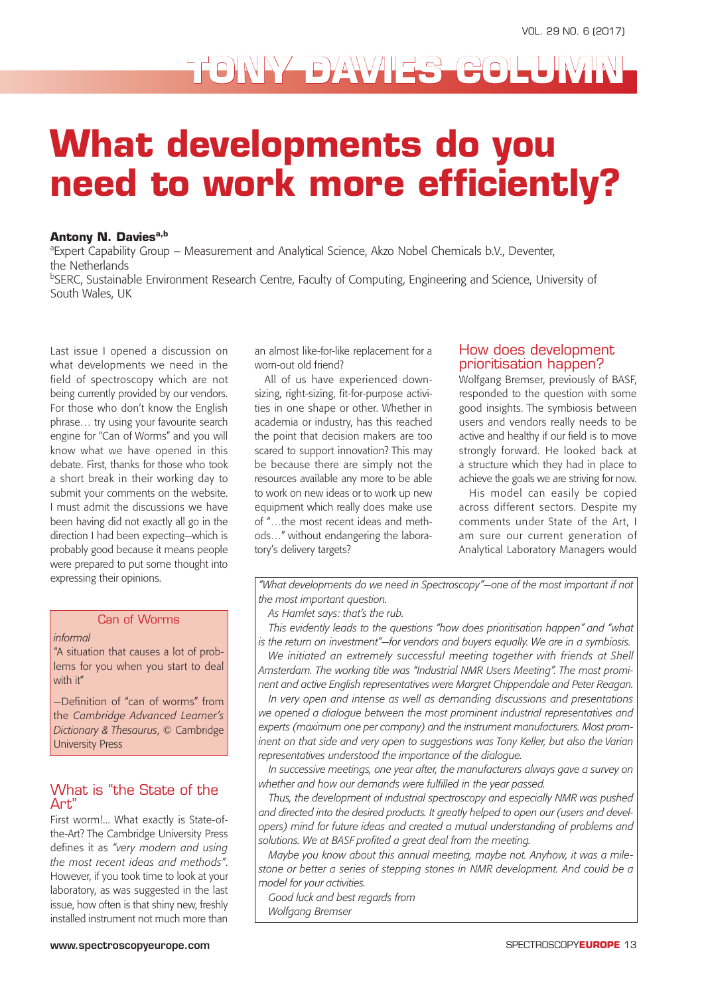## **TONY DAVIES COLUMN**

# **What developments do you need to work more efficiently?**

#### **Antony N. Davies**<sup>a,b</sup>

<sup>a</sup> Expert Capability Group – Measurement and Analytical Science, Akzo Nobel Chemicals b.V., Deventer, the Netherlands

<sup>b</sup>SERC, Sustainable Environment Research Centre, Faculty of Computing, Engineering and Science, University of South Wales, UK

Last issue I opened a discussion on what developments we need in the field of spectroscopy which are not being currently provided by our vendors. For those who don't know the English phrase… try using your favourite search engine for "Can of Worms" and you will know what we have opened in this debate. First, thanks for those who took a short break in their working day to submit your comments on the website. I must admit the discussions we have been having did not exactly all go in the direction I had been expecting—which is probably good because it means people were prepared to put some thought into expressing their opinions.

#### Can of Worms

#### *informal*

"A situation that causes a lot of problems for you when you start to deal with it"

—Definition of "can of worms" from the *Cambridge Advanced Learner's Dictionary & Thesaurus*, © Cambridge University Press

### What is "the State of the Art"

First worm!... What exactly is State-ofthe-Art? The Cambridge University Press defines it as *"very modern and using the most recent ideas and methods"*. However, if you took time to look at your laboratory, as was suggested in the last issue, how often is that shiny new, freshly installed instrument not much more than

an almost like-for-like replacement for a worn-out old friend?

All of us have experienced downsizing, right-sizing, fit-for-purpose activities in one shape or other. Whether in academia or industry, has this reached the point that decision makers are too scared to support innovation? This may be because there are simply not the resources available any more to be able to work on new ideas or to work up new equipment which really does make use of "…the most recent ideas and methods…" without endangering the laboratory's delivery targets?

### How does development prioritisation happen?

Wolfgang Bremser, previously of BASF, responded to the question with some good insights. The symbiosis between users and vendors really needs to be active and healthy if our field is to move strongly forward. He looked back at a structure which they had in place to achieve the goals we are striving for now.

His model can easily be copied across different sectors. Despite my comments under State of the Art, I am sure our current generation of Analytical Laboratory Managers would

*"What developments do we need in Spectroscopy"—one of the most important if not the most important question.*

*As Hamlet says: that's the rub.*

*This evidently leads to the questions "how does prioritisation happen" and "what is the return on investment"—for vendors and buyers equally. We are in a symbiosis.*

We initiated an extremely successful meeting together with friends at Shell *Amsterdam. The working title was "Industrial NMR Users Meeting". The most prominent and active English representatives were Margret Chippendale and Peter Reagan.* 

*In very open and intense as well as demanding discussions and presentations we opened a dialogue between the most prominent industrial representatives and experts (maximum one per company) and the instrument manufacturers. Most prominent on that side and very open to suggestions was Tony Keller, but also the Varian representatives understood the importance of the dialogue.*

*In successive meetings, one year after, the manufacturers always gave a survey on whether and how our demands were fulfilled in the year passed.*

*Thus, the development of industrial spectroscopy and especially NMR was pushed and directed into the desired products. It greatly helped to open our (users and developers) mind for future ideas and created a mutual understanding of problems and solutions. We at BASF profited a great deal from the meeting.*

*Maybe you know about this annual meeting, maybe not. Anyhow, it was a milestone or better a series of stepping stones in NMR development. And could be a model for your activities.*

*Good luck and best regards from*

*Wolfgang Bremser*